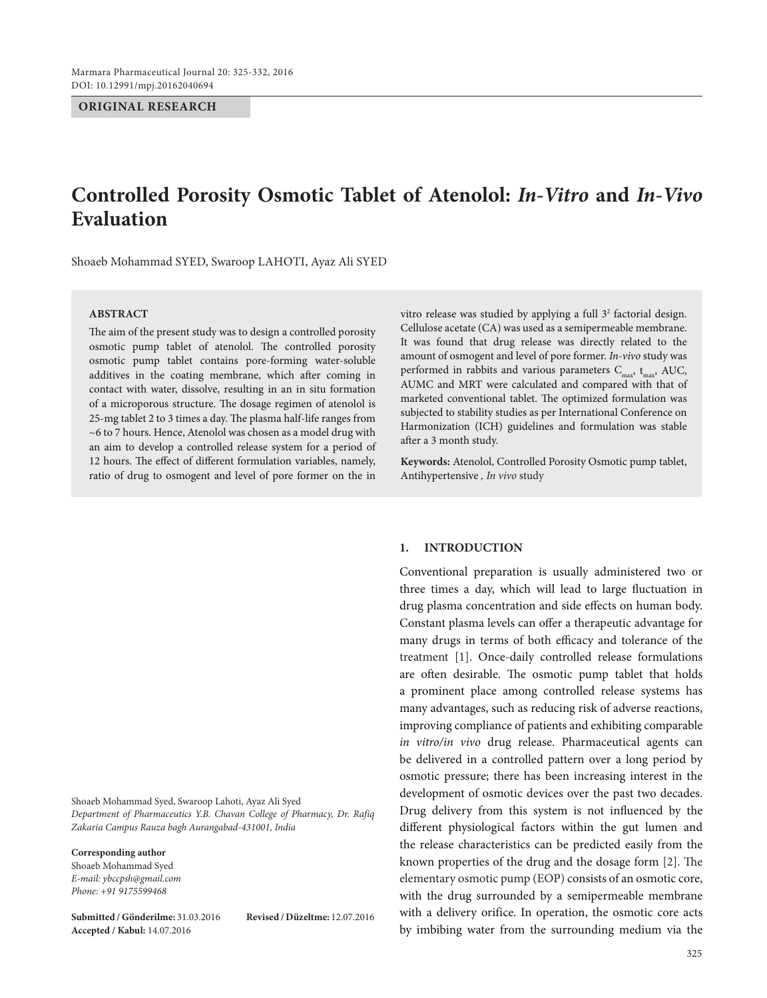**ORIGINAL RESEARCH**

# **Controlled Porosity Osmotic Tablet of Atenolol:** *In-Vitro* **and** *In-Vivo*  **Evaluation**

Shoaeb Mohammad SYED, Swaroop LAHOTI, Ayaz Ali SYED

## **Abstract**

The aim of the present study was to design a controlled porosity osmotic pump tablet of atenolol. The controlled porosity osmotic pump tablet contains pore-forming water-soluble additives in the coating membrane, which after coming in contact with water, dissolve, resulting in an in situ formation of a microporous structure. The dosage regimen of atenolol is 25-mg tablet 2 to 3 times a day. The plasma half-life ranges from ~6 to 7 hours. Hence, Atenolol was chosen as a model drug with an aim to develop a controlled release system for a period of 12 hours. The effect of different formulation variables, namely, ratio of drug to osmogent and level of pore former on the in

Shoaeb Mohammad Syed, Swaroop Lahoti, Ayaz Ali Syed *Department of Pharmaceutics Y.B. Chavan College of Pharmacy, Dr. Rafiq Zakaria Campus Rauza bagh Aurangabad-431001, India*

**Corresponding author**

Shoaeb Mohammad Syed *E-mail: ybccpsh@gmail.com Phone: +91 9175599468*

**Submitted / Gönderilme:** 31.03.2016 **Revised / Düzeltme:** 12.07.2016 **Accepted / Kabul:** 14.07.2016

vitro release was studied by applying a full  $3<sup>2</sup>$  factorial design. Cellulose acetate (CA) was used as a semipermeable membrane. It was found that drug release was directly related to the amount of osmogent and level of pore former. *In-vivo* study was performed in rabbits and various parameters  $C_{\text{max}}$ ,  $t_{\text{max}}$ , AUC, AUMC and MRT were calculated and compared with that of marketed conventional tablet. The optimized formulation was subjected to stability studies as per International Conference on Harmonization (ICH) guidelines and formulation was stable after a 3 month study.

**Keywords:** Atenolol, Controlled Porosity Osmotic pump tablet, Antihypertensive *, In vivo* study

#### **1. INTRODUCTION**

Conventional preparation is usually administered two or three times a day, which will lead to large fluctuation in drug plasma concentration and side effects on human body. Constant plasma levels can offer a therapeutic advantage for many drugs in terms of both efficacy and tolerance of the treatment [1]. Once-daily controlled release formulations are often desirable. The osmotic pump tablet that holds a prominent place among controlled release systems has many advantages, such as reducing risk of adverse reactions, improving compliance of patients and exhibiting comparable *in vitro/in vivo* drug release. Pharmaceutical agents can be delivered in a controlled pattern over a long period by osmotic pressure; there has been increasing interest in the development of osmotic devices over the past two decades. Drug delivery from this system is not influenced by the different physiological factors within the gut lumen and the release characteristics can be predicted easily from the known properties of the drug and the dosage form [2]. The elementary osmotic pump (EOP) consists of an osmotic core, with the drug surrounded by a semipermeable membrane with a delivery orifice. In operation, the osmotic core acts by imbibing water from the surrounding medium via the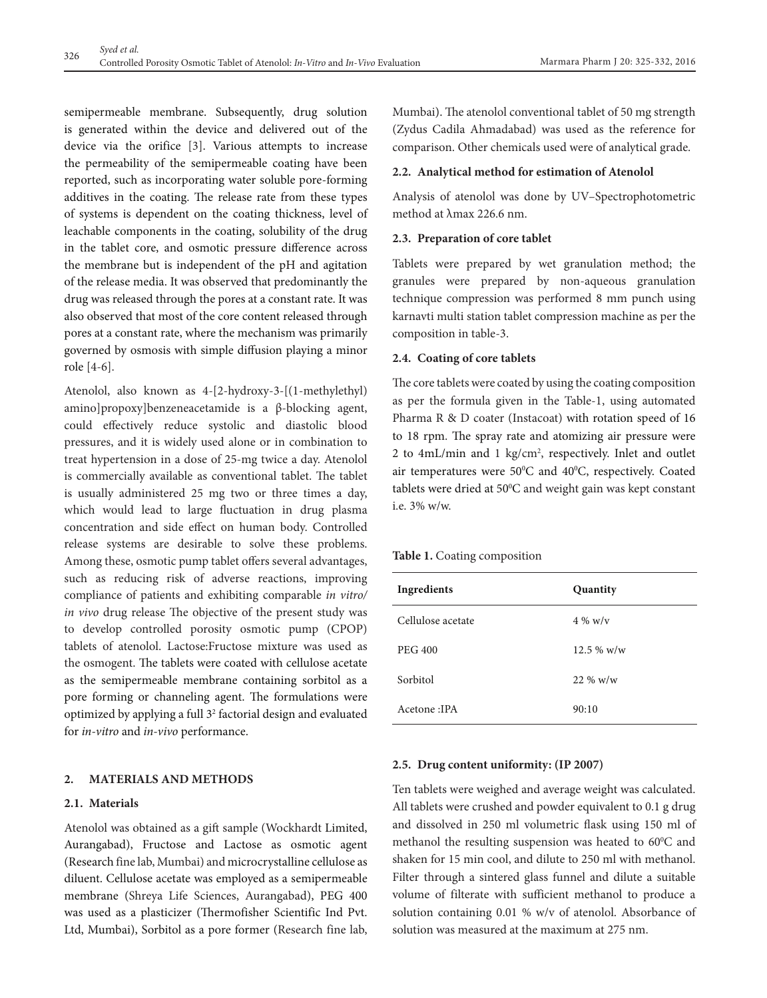semipermeable membrane. Subsequently, drug solution is generated within the device and delivered out of the device via the orifice [3]. Various attempts to increase the permeability of the semipermeable coating have been reported, such as incorporating water soluble pore-forming additives in the coating. The release rate from these types of systems is dependent on the coating thickness, level of leachable components in the coating, solubility of the drug in the tablet core, and osmotic pressure difference across the membrane but is independent of the pH and agitation of the release media. It was observed that predominantly the drug was released through the pores at a constant rate. It was also observed that most of the core content released through pores at a constant rate, where the mechanism was primarily governed by osmosis with simple diffusion playing a minor role [4-6].

Atenolol, also known as 4-[2-hydroxy-3-[(1-methylethyl) amino]propoxy]benzeneacetamide is a β-blocking agent, could effectively reduce systolic and diastolic blood pressures, and it is widely used alone or in combination to treat hypertension in a dose of 25-mg twice a day. Atenolol is commercially available as conventional tablet. The tablet is usually administered 25 mg two or three times a day, which would lead to large fluctuation in drug plasma concentration and side effect on human body. Controlled release systems are desirable to solve these problems. Among these, osmotic pump tablet offers several advantages, such as reducing risk of adverse reactions, improving compliance of patients and exhibiting comparable *in vitro/ in vivo* drug release The objective of the present study was to develop controlled porosity osmotic pump (CPOP) tablets of atenolol. Lactose:Fructose mixture was used as the osmogent. The tablets were coated with cellulose acetate as the semipermeable membrane containing sorbitol as a pore forming or channeling agent. The formulations were optimized by applying a full 32 factorial design and evaluated for *in-vitro* and *in-vivo* performance.

## **2. MATERIALS AND METHODS**

## **2.1. Materials**

Atenolol was obtained as a gift sample (Wockhardt Limited, Aurangabad), Fructose and Lactose as osmotic agent (Research fine lab, Mumbai) and microcrystalline cellulose as diluent. Cellulose acetate was employed as a semipermeable membrane (Shreya Life Sciences, Aurangabad), PEG 400 was used as a plasticizer (Thermofisher Scientific Ind Pvt. Ltd, Mumbai), Sorbitol as a pore former (Research fine lab, Mumbai). The atenolol conventional tablet of 50 mg strength (Zydus Cadila Ahmadabad) was used as the reference for comparison. Other chemicals used were of analytical grade.

#### **2.2. Analytical method for estimation of Atenolol**

Analysis of atenolol was done by UV–Spectrophotometric method at λmax 226.6 nm.

## **2.3. Preparation of core tablet**

Tablets were prepared by wet granulation method; the granules were prepared by non-aqueous granulation technique compression was performed 8 mm punch using karnavti multi station tablet compression machine as per the composition in table-3.

## **2.4. Coating of core tablets**

The core tablets were coated by using the coating composition as per the formula given in the Table-1, using automated Pharma R & D coater (Instacoat) with rotation speed of 16 to 18 rpm. The spray rate and atomizing air pressure were 2 to 4mL/min and 1 kg/cm<sup>2</sup>, respectively. Inlet and outlet air temperatures were  $50^{\circ}$ C and  $40^{\circ}$ C, respectively. Coated tablets were dried at 50°C and weight gain was kept constant i.e.  $3\%$  w/w.

#### **Table 1.** Coating composition

| Ingredients       | Quantity     |
|-------------------|--------------|
| Cellulose acetate | $4\%$ w/v    |
| <b>PEG 400</b>    | $12.5\%$ w/w |
| Sorbitol          | $22\%$ w/w   |
| Acetone: IPA      | 90:10        |

## **2.5. Drug content uniformity: (IP 2007)**

Ten tablets were weighed and average weight was calculated. All tablets were crushed and powder equivalent to 0.1 g drug and dissolved in 250 ml volumetric flask using 150 ml of methanol the resulting suspension was heated to  $60^{\circ}$ C and shaken for 15 min cool, and dilute to 250 ml with methanol. Filter through a sintered glass funnel and dilute a suitable volume of filterate with sufficient methanol to produce a solution containing 0.01 % w/v of atenolol. Absorbance of solution was measured at the maximum at 275 nm.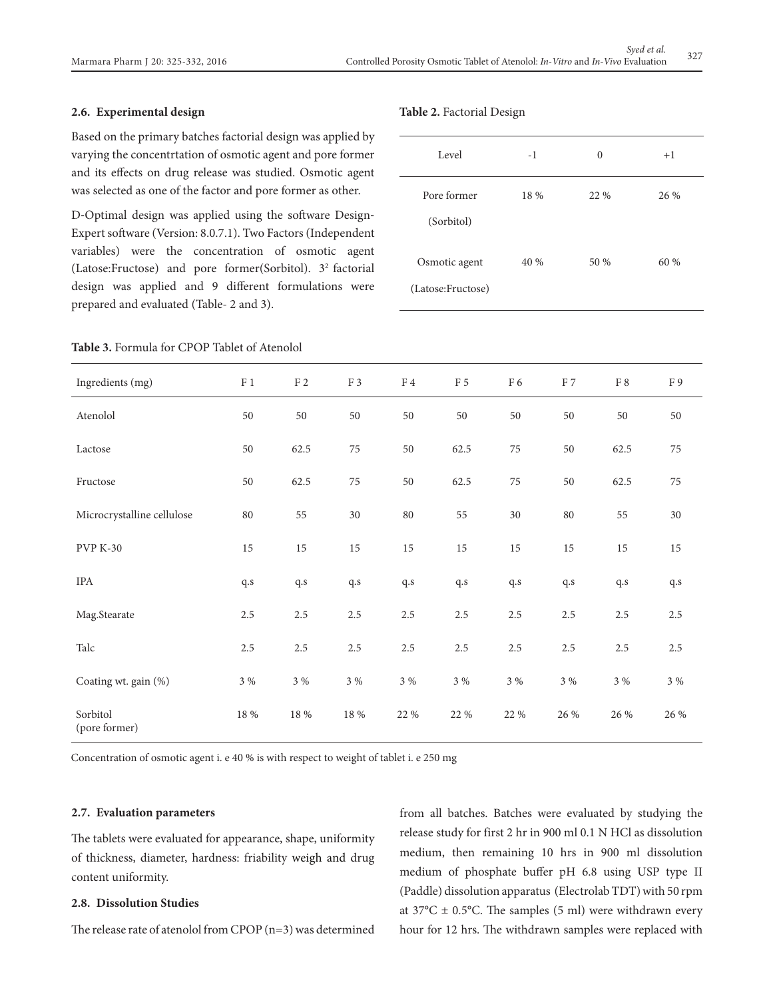## **2.6. Experimental design**

Based on the primary batches factorial design was applied by varying the concentrtation of osmotic agent and pore former and its effects on drug release was studied. Osmotic agent was selected as one of the factor and pore former as other.

D-Optimal design was applied using the software Design-Expert software (Version: 8.0.7.1). Two Factors (Independent variables) were the concentration of osmotic agent (Latose:Fructose) and pore former(Sorbitol). 32 factorial design was applied and 9 different formulations were prepared and evaluated (Table- 2 and 3).

## **Table 3.** Formula for CPOP Tablet of Atenolol

#### **Table 2.** Factorial Design

| Level                              | $-1$ | $\theta$ | $+1$ |
|------------------------------------|------|----------|------|
| Pore former<br>(Sorbitol)          | 18 % | 22 %     | 26 % |
| Osmotic agent<br>(Latose:Fructose) | 40 % | 50 %     | 60 % |

| Ingredients (mg)           | $\rm F$ 1 | $\rm F$ 2 | F 3     | $\rm{F}$ 4 | $\rm F$ 5 | $\rm F$ 6 | $\rm F$ 7               | $\rm{F}$ 8 | $\rm F$ 9 |
|----------------------------|-----------|-----------|---------|------------|-----------|-----------|-------------------------|------------|-----------|
| Atenolol                   | 50        | 50        | $50\,$  | 50         | 50        | 50        | 50                      | 50         | 50        |
| Lactose                    | 50        | 62.5      | $75\,$  | 50         | 62.5      | $75\,$    | $50\,$                  | 62.5       | 75        |
| Fructose                   | 50        | 62.5      | $75\,$  | 50         | 62.5      | $75\,$    | 50                      | 62.5       | $75\,$    |
| Microcrystalline cellulose | 80        | 55        | 30      | 80         | 55        | 30        | $80\,$                  | 55         | 30        |
| <b>PVP K-30</b>            | 15        | 15        | 15      | $15\,$     | 15        | 15        | 15                      | 15         | 15        |
| IPA                        | q.s       | $\rm q.s$ | q.s     | q.s        | $\rm q.s$ | q.s       | $\mathbf{q}.\mathbf{s}$ | $\rm q.s$  | $\rm q.s$ |
| Mag.Stearate               | $2.5\,$   | $2.5\,$   | 2.5     | $2.5\,$    | $2.5\,$   | 2.5       | $2.5\,$                 | 2.5        | $2.5\,$   |
| Talc                       | $2.5\,$   | 2.5       | 2.5     | $2.5\,$    | 2.5       | 2.5       | $2.5\,$                 | 2.5        | 2.5       |
| Coating wt. gain (%)       | $3\%$     | 3 %       | $3\ \%$ | $3\%$      | $3\ \%$   | $3\%$     | 3 %                     | $3\ \%$    | 3 %       |
| Sorbitol<br>(pore former)  | 18 %      | 18 %      | 18 %    | 22 %       | 22 %      | 22 %      | 26 %                    | 26 %       | 26 %      |

Concentration of osmotic agent i. e 40 % is with respect to weight of tablet i. e 250 mg

#### **2.7. Evaluation parameters**

The tablets were evaluated for appearance, shape, uniformity of thickness, diameter, hardness: friability weigh and drug content uniformity.

## **2.8. Dissolution Studies**

The release rate of atenolol from CPOP (n=3) was determined

from all batches. Batches were evaluated by studying the release study for first 2 hr in 900 ml 0.1 N HCl as dissolution medium, then remaining 10 hrs in 900 ml dissolution medium of phosphate buffer pH 6.8 using USP type II (Paddle) dissolution apparatus (Electrolab TDT) with 50 rpm at  $37^{\circ}$ C  $\pm$  0.5°C. The samples (5 ml) were withdrawn every hour for 12 hrs. The withdrawn samples were replaced with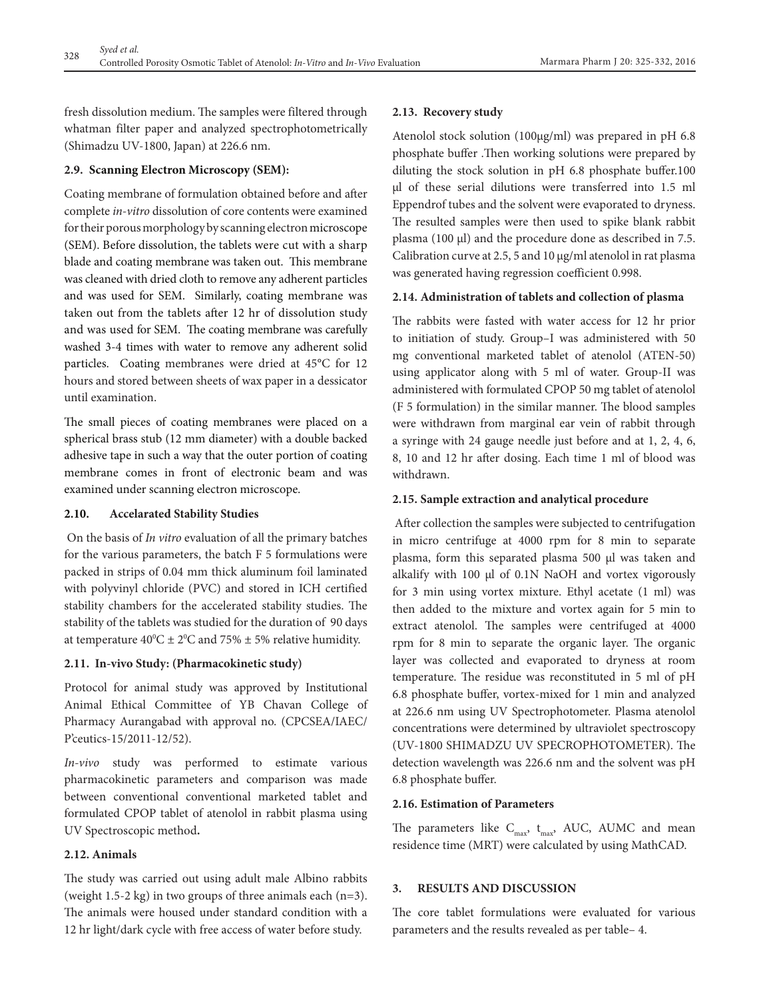fresh dissolution medium. The samples were filtered through whatman filter paper and analyzed spectrophotometrically (Shimadzu UV-1800, Japan) at 226.6 nm.

# **2.9. Scanning Electron Microscopy (SEM):**

Coating membrane of formulation obtained before and after complete *in-vitro* dissolution of core contents were examined for their porous morphology by scanning electron microscope (SEM). Before dissolution, the tablets were cut with a sharp blade and coating membrane was taken out. This membrane was cleaned with dried cloth to remove any adherent particles and was used for SEM. Similarly, coating membrane was taken out from the tablets after 12 hr of dissolution study and was used for SEM. The coating membrane was carefully washed 3-4 times with water to remove any adherent solid particles. Coating membranes were dried at 45°C for 12 hours and stored between sheets of wax paper in a dessicator until examination.

The small pieces of coating membranes were placed on a spherical brass stub (12 mm diameter) with a double backed adhesive tape in such a way that the outer portion of coating membrane comes in front of electronic beam and was examined under scanning electron microscope.

# **2.10. Accelarated Stability Studies**

 On the basis of *In vitro* evaluation of all the primary batches for the various parameters, the batch F 5 formulations were packed in strips of 0.04 mm thick aluminum foil laminated with polyvinyl chloride (PVC) and stored in ICH certified stability chambers for the accelerated stability studies. The stability of the tablets was studied for the duration of 90 days at temperature  $40^{\circ}\text{C} \pm 2^{\circ}\text{C}$  and 75%  $\pm$  5% relative humidity.

# **2.11. In-vivo Study: (Pharmacokinetic study)**

Protocol for animal study was approved by Institutional Animal Ethical Committee of YB Chavan College of Pharmacy Aurangabad with approval no. (CPCSEA/IAEC/ P'ceutics-15/2011-12/52).

*In-vivo* study was performed to estimate various pharmacokinetic parameters and comparison was made between conventional conventional marketed tablet and formulated CPOP tablet of atenolol in rabbit plasma using UV Spectroscopic method**.** 

# **2.12. Animals**

The study was carried out using adult male Albino rabbits (weight 1.5-2 kg) in two groups of three animals each  $(n=3)$ . The animals were housed under standard condition with a 12 hr light/dark cycle with free access of water before study.

## **2.13. Recovery study**

Atenolol stock solution (100µg/ml) was prepared in pH 6.8 phosphate buffer .Then working solutions were prepared by diluting the stock solution in pH 6.8 phosphate buffer.100 µl of these serial dilutions were transferred into 1.5 ml Eppendrof tubes and the solvent were evaporated to dryness. The resulted samples were then used to spike blank rabbit plasma (100 µl) and the procedure done as described in 7.5. Calibration curve at 2.5, 5 and 10 µg/ml atenolol in rat plasma was generated having regression coefficient 0.998.

## **2.14. Administration of tablets and collection of plasma**

The rabbits were fasted with water access for 12 hr prior to initiation of study. Group–I was administered with 50 mg conventional marketed tablet of atenolol (ATEN-50) using applicator along with 5 ml of water. Group-II was administered with formulated CPOP 50 mg tablet of atenolol (F 5 formulation) in the similar manner. The blood samples were withdrawn from marginal ear vein of rabbit through a syringe with 24 gauge needle just before and at 1, 2, 4, 6, 8, 10 and 12 hr after dosing. Each time 1 ml of blood was withdrawn.

## **2.15. Sample extraction and analytical procedure**

 After collection the samples were subjected to centrifugation in micro centrifuge at 4000 rpm for 8 min to separate plasma, form this separated plasma 500 µl was taken and alkalify with 100 µl of 0.1N NaOH and vortex vigorously for 3 min using vortex mixture. Ethyl acetate (1 ml) was then added to the mixture and vortex again for 5 min to extract atenolol. The samples were centrifuged at 4000 rpm for 8 min to separate the organic layer. The organic layer was collected and evaporated to dryness at room temperature. The residue was reconstituted in 5 ml of pH 6.8 phosphate buffer, vortex-mixed for 1 min and analyzed at 226.6 nm using UV Spectrophotometer. Plasma atenolol concentrations were determined by ultraviolet spectroscopy (UV-1800 SHIMADZU UV SPECROPHOTOMETER). The detection wavelength was 226.6 nm and the solvent was pH 6.8 phosphate buffer.

# **2.16. Estimation of Parameters**

The parameters like  $C_{\text{max}}$ ,  $t_{\text{max}}$ , AUC, AUMC and mean residence time (MRT) were calculated by using MathCAD.

# **3. RESULTS AND DISCUSSION**

The core tablet formulations were evaluated for various parameters and the results revealed as per table– 4.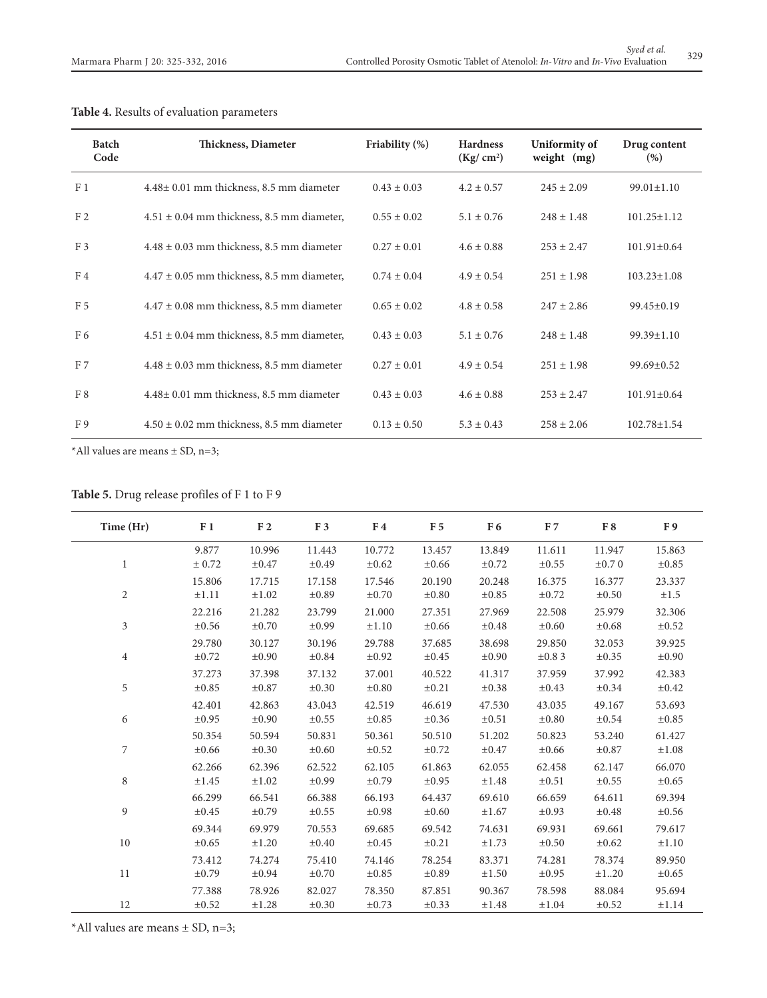| <b>Batch</b><br>Code | Thickness, Diameter                            | Friability $(\%)$ | <b>Hardness</b><br>(Kg/cm <sup>2</sup> ) | Uniformity of<br>weight $(mg)$ | Drug content<br>(%) |
|----------------------|------------------------------------------------|-------------------|------------------------------------------|--------------------------------|---------------------|
| F <sub>1</sub>       | $4.48\pm0.01$ mm thickness, 8.5 mm diameter    | $0.43 \pm 0.03$   | $4.2 \pm 0.57$                           | $245 \pm 2.09$                 | $99.01 \pm 1.10$    |
| F <sub>2</sub>       | $4.51 \pm 0.04$ mm thickness, 8.5 mm diameter, | $0.55 \pm 0.02$   | $5.1 \pm 0.76$                           | $248 \pm 1.48$                 | $101.25 \pm 1.12$   |
| F <sub>3</sub>       | $4.48 \pm 0.03$ mm thickness, 8.5 mm diameter  | $0.27 \pm 0.01$   | $4.6 \pm 0.88$                           | $253 \pm 2.47$                 | $101.91 \pm 0.64$   |
| F4                   | $4.47 \pm 0.05$ mm thickness, 8.5 mm diameter, | $0.74 \pm 0.04$   | $4.9 \pm 0.54$                           | $251 \pm 1.98$                 | $103.23 \pm 1.08$   |
| F <sub>5</sub>       | $4.47 \pm 0.08$ mm thickness, 8.5 mm diameter  | $0.65 \pm 0.02$   | $4.8 \pm 0.58$                           | $247 \pm 2.86$                 | $99.45 \pm 0.19$    |
| F <sub>6</sub>       | $4.51 \pm 0.04$ mm thickness, 8.5 mm diameter, | $0.43 \pm 0.03$   | $5.1 \pm 0.76$                           | $248 \pm 1.48$                 | $99.39 \pm 1.10$    |
| F <sub>7</sub>       | $4.48 \pm 0.03$ mm thickness, 8.5 mm diameter  | $0.27 \pm 0.01$   | $4.9 \pm 0.54$                           | $251 \pm 1.98$                 | $99.69 \pm 0.52$    |
| F8                   | $4.48\pm0.01$ mm thickness, 8.5 mm diameter    | $0.43 \pm 0.03$   | $4.6 \pm 0.88$                           | $253 \pm 2.47$                 | $101.91 \pm 0.64$   |
| F9                   | $4.50 \pm 0.02$ mm thickness, 8.5 mm diameter  | $0.13 \pm 0.50$   | $5.3 \pm 0.43$                           | $258 \pm 2.06$                 | $102.78 \pm 1.54$   |

# **Table 4.** Results of evaluation parameters

\*All values are means  $\pm$  SD, n=3;

**Table 5.** Drug release profiles of F 1 to F 9

| Time (Hr)      | F <sub>1</sub> | $\rm F$ 2  | F <sub>3</sub> | F <sub>4</sub> | F <sub>5</sub> | F <sub>6</sub> | F <sub>7</sub> | F8         | F9         |
|----------------|----------------|------------|----------------|----------------|----------------|----------------|----------------|------------|------------|
| $\mathbf{1}$   | 9.877          | 10.996     | 11.443         | 10.772         | 13.457         | 13.849         | 11.611         | 11.947     | 15.863     |
|                | ± 0.72         | $\pm 0.47$ | $\pm 0.49$     | $\pm 0.62$     | $\pm 0.66$     | $\pm 0.72$     | $\pm 0.55$     | $\pm 0.70$ | $\pm 0.85$ |
| $\overline{c}$ | 15.806         | 17.715     | 17.158         | 17.546         | 20.190         | 20.248         | 16.375         | 16.377     | 23.337     |
|                | $\pm 1.11$     | $\pm 1.02$ | $\pm 0.89$     | $\pm 0.70$     | $\pm 0.80$     | $\pm 0.85$     | $\pm 0.72$     | $\pm 0.50$ | $\pm 1.5$  |
| 3              | 22.216         | 21.282     | 23.799         | 21.000         | 27.351         | 27.969         | 22.508         | 25.979     | 32.306     |
|                | $\pm 0.56$     | $\pm 0.70$ | $\pm 0.99$     | $\pm 1.10$     | $\pm 0.66$     | $\pm 0.48$     | $\pm 0.60$     | $\pm 0.68$ | $\pm 0.52$ |
| $\overline{4}$ | 29.780         | 30.127     | 30.196         | 29.788         | 37.685         | 38.698         | 29.850         | 32.053     | 39.925     |
|                | $\pm 0.72$     | $\pm 0.90$ | $\pm 0.84$     | $\pm 0.92$     | $\pm 0.45$     | $\pm 0.90$     | ±0.83          | $\pm 0.35$ | $\pm 0.90$ |
| 5              | 37.273         | 37.398     | 37.132         | 37.001         | 40.522         | 41.317         | 37.959         | 37.992     | 42.383     |
|                | $\pm 0.85$     | $\pm 0.87$ | $\pm 0.30$     | $\pm 0.80$     | $\pm 0.21$     | $\pm 0.38$     | $\pm 0.43$     | $\pm 0.34$ | $\pm 0.42$ |
| 6              | 42.401         | 42.863     | 43.043         | 42.519         | 46.619         | 47.530         | 43.035         | 49.167     | 53.693     |
|                | $\pm 0.95$     | $\pm 0.90$ | $\pm 0.55$     | $\pm 0.85$     | $\pm 0.36$     | $\pm 0.51$     | $\pm 0.80$     | $\pm 0.54$ | $\pm 0.85$ |
| 7              | 50.354         | 50.594     | 50.831         | 50.361         | 50.510         | 51.202         | 50.823         | 53.240     | 61.427     |
|                | $\pm 0.66$     | $\pm 0.30$ | $\pm 0.60$     | $\pm 0.52$     | $\pm 0.72$     | $\pm 0.47$     | $\pm 0.66$     | $\pm 0.87$ | $\pm 1.08$ |
| 8              | 62.266         | 62.396     | 62.522         | 62.105         | 61.863         | 62.055         | 62.458         | 62.147     | 66.070     |
|                | $\pm 1.45$     | $\pm 1.02$ | $\pm 0.99$     | $\pm 0.79$     | $\pm 0.95$     | $\pm 1.48$     | $\pm 0.51$     | ±0.55      | $\pm 0.65$ |
| 9              | 66.299         | 66.541     | 66.388         | 66.193         | 64.437         | 69.610         | 66.659         | 64.611     | 69.394     |
|                | $\pm 0.45$     | $\pm 0.79$ | $\pm 0.55$     | $\pm 0.98$     | $\pm 0.60$     | $\pm 1.67$     | $\pm 0.93$     | $\pm 0.48$ | $\pm 0.56$ |
| 10             | 69.344         | 69.979     | 70.553         | 69.685         | 69.542         | 74.631         | 69.931         | 69.661     | 79.617     |
|                | $\pm 0.65$     | ±1.20      | $\pm 0.40$     | $\pm 0.45$     | $\pm 0.21$     | $\pm 1.73$     | $\pm 0.50$     | $\pm 0.62$ | ±1.10      |
| 11             | 73.412         | 74.274     | 75.410         | 74.146         | 78.254         | 83.371         | 74.281         | 78.374     | 89.950     |
|                | $\pm 0.79$     | $\pm 0.94$ | $\pm 0.70$     | $\pm 0.85$     | $\pm 0.89$     | $\pm 1.50$     | $\pm 0.95$     | ±120       | $\pm 0.65$ |
| 12             | 77.388         | 78.926     | 82.027         | 78.350         | 87.851         | 90.367         | 78.598         | 88.084     | 95.694     |
|                | $\pm 0.52$     | $\pm 1.28$ | $\pm 0.30$     | $\pm 0.73$     | $\pm 0.33$     | $\pm 1.48$     | $\pm 1.04$     | $\pm 0.52$ | $\pm 1.14$ |

\*All values are means  $\pm$  SD, n=3;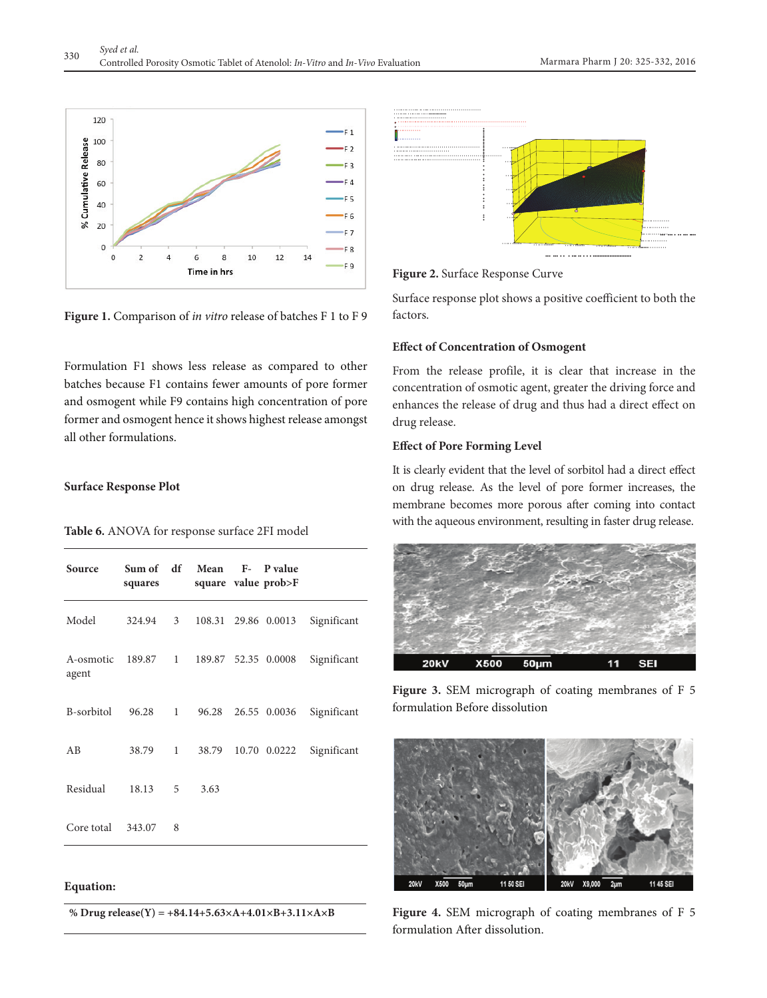

**Figure 1.** Comparison of *in vitro* release of batches F 1 to F 9

Formulation F1 shows less release as compared to other batches because F1 contains fewer amounts of pore former and osmogent while F9 contains high concentration of pore former and osmogent hence it shows highest release amongst all other formulations.

### **Surface Response Plot**

## **Table 6.** ANOVA for response surface 2FI model

| Source             | Sum of df<br>squares |                | Mean                         | F- P value<br>square value prob>F |             |
|--------------------|----------------------|----------------|------------------------------|-----------------------------------|-------------|
| Model              | 324.94               | 3 <sup>7</sup> |                              | 108.31 29.86 0.0013               | Significant |
| A-osmotic<br>agent |                      |                | 189.87 1 189.87 52.35 0.0008 |                                   | Significant |
| B-sorbitol         | 96.28                | $1 \quad$      | 96.28                        | 26.55 0.0036                      | Significant |
| AB                 | 38.79                | $\mathbf{1}$   | 38.79                        | 10.70 0.0222                      | Significant |
| Residual           | 18.13                | 5              | 3.63                         |                                   |             |
| Core total         | 343.07               | 8              |                              |                                   |             |

## **Equation:**

**% Drug release(Y) = +84.14+5.63×A+4.01×B+3.11×A×B**



**Figure 2.** Surface Response Curve

Surface response plot shows a positive coefficient to both the factors.

## **Effect of Concentration of Osmogent**

From the release profile, it is clear that increase in the concentration of osmotic agent, greater the driving force and enhances the release of drug and thus had a direct effect on drug release.

## **Effect of Pore Forming Level**

It is clearly evident that the level of sorbitol had a direct effect on drug release. As the level of pore former increases, the membrane becomes more porous after coming into contact with the aqueous environment, resulting in faster drug release.



**Figure 3.** SEM micrograph of coating membranes of F 5 formulation Before dissolution



**Figure 4.** SEM micrograph of coating membranes of F 5 formulation After dissolution.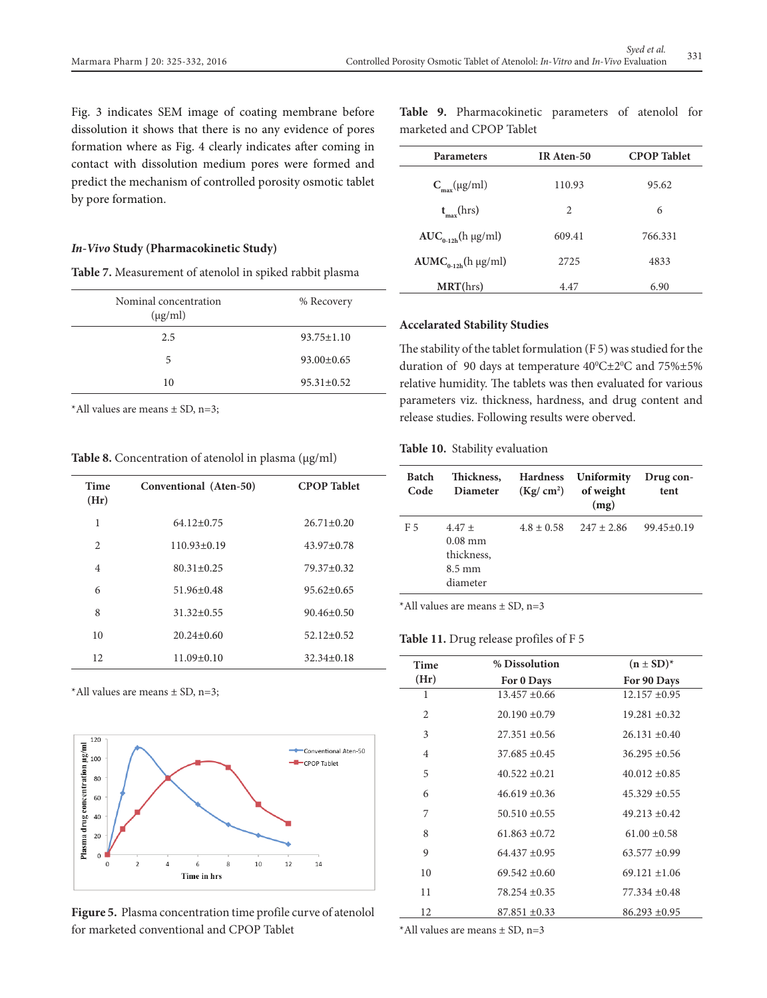Fig. 3 indicates SEM image of coating membrane before dissolution it shows that there is no any evidence of pores formation where as Fig. 4 clearly indicates after coming in contact with dissolution medium pores were formed and predict the mechanism of controlled porosity osmotic tablet by pore formation.

#### *In-Vivo* **Study (Pharmacokinetic Study)**

| Table 7. Measurement of atenolol in spiked rabbit plasma |  |  |
|----------------------------------------------------------|--|--|
|----------------------------------------------------------|--|--|

| Nominal concentration<br>$(\mu g/ml)$ | % Recovery       |
|---------------------------------------|------------------|
| 2.5                                   | $93.75 \pm 1.10$ |
| 5                                     | $93.00 \pm 0.65$ |
| 10                                    | $95.31 \pm 0.52$ |

\*All values are means  $\pm$  SD, n=3;

Table 8. Concentration of atenolol in plasma (µg/ml)

| Time<br>(Hr)   | Conventional (Aten-50) | <b>CPOP</b> Tablet |
|----------------|------------------------|--------------------|
| 1              | $64.12 \pm 0.75$       | $26.71 \pm 0.20$   |
| 2              | $110.93 \pm 0.19$      | $43.97 \pm 0.78$   |
| $\overline{4}$ | $80.31 \pm 0.25$       | 79.37±0.32         |
| 6              | $51.96 + 0.48$         | $95.62 + 0.65$     |
| 8              | $31.32 \pm 0.55$       | $90.46 \pm 0.50$   |
| 10             | $20.24 \pm 0.60$       | $52.12 \pm 0.52$   |
| 12             | $11.09 \pm 0.10$       | $32.34 \pm 0.18$   |

\*All values are means ± SD, n=3;



**Figure 5.** Plasma concentration time profile curve of atenolol for marketed conventional and CPOP Tablet

|  | Table 9. Pharmacokinetic parameters of atenolol for |  |  |
|--|-----------------------------------------------------|--|--|
|  | marketed and CPOP Tablet                            |  |  |

| <b>Parameters</b>          | IR Aten-50 | <b>CPOP</b> Tablet |
|----------------------------|------------|--------------------|
| $C_{\text{max}}(\mu g/ml)$ | 110.93     | 95.62              |
| $t_{\text{max}}$ (hrs)     | 2          | 6                  |
| $AUC_{0-12h}$ (h µg/ml)    | 609.41     | 766.331            |
| $AUMC_{0-12h}$ (h µg/ml)   | 2725       | 4833               |
| MRT(hrs)                   | 4.47       | 6.90               |
|                            |            |                    |

## **Accelarated Stability Studies**

The stability of the tablet formulation (F 5) was studied for the duration of 90 days at temperature  $40^{\circ}$ C $\pm$ 2 $^{\circ}$ C and 75% $\pm$ 5% relative humidity. The tablets was then evaluated for various parameters viz. thickness, hardness, and drug content and release studies. Following results were oberved.

## **Table 10.** Stability evaluation

| <b>Batch</b><br>Code | Thickness,<br><b>Diameter</b>                                       | <b>Hardness</b><br>(Kg/cm <sup>2</sup> ) | Uniformity<br>of weight<br>(mg) | Drug con-<br>tent |
|----------------------|---------------------------------------------------------------------|------------------------------------------|---------------------------------|-------------------|
| F 5                  | $4.47 +$<br>$0.08$ mm<br>thickness,<br>$8.5 \text{ mm}$<br>diameter | $4.8 \pm 0.58$                           | $247 \pm 2.86$                  | $99.45 \pm 0.19$  |

\*All values are means  $\pm$  SD, n=3

#### **Table 11.** Drug release profiles of F 5

| Time           | % Dissolution     | $(n \pm SD)^*$    |
|----------------|-------------------|-------------------|
| (Hr)           | For 0 Days        | For 90 Days       |
| 1              | $13.457 \pm 0.66$ | $12.157 \pm 0.95$ |
| 2              | $20.190 \pm 0.79$ | $19.281 \pm 0.32$ |
| 3              | $27.351 \pm 0.56$ | $26.131 \pm 0.40$ |
| $\overline{4}$ | $37.685 \pm 0.45$ | $36.295 \pm 0.56$ |
| 5              | $40.522 \pm 0.21$ | $40.012 \pm 0.85$ |
| 6              | $46.619 \pm 0.36$ | $45.329 \pm 0.55$ |
| 7              | $50.510 \pm 0.55$ | $49.213 \pm 0.42$ |
| 8              | $61.863 \pm 0.72$ | $61.00 \pm 0.58$  |
| 9              | $64.437 + 0.95$   | $63.577 \pm 0.99$ |
| 10             | $69.542 \pm 0.60$ | $69.121 \pm 1.06$ |
| 11             | $78.254 \pm 0.35$ | $77.334 \pm 0.48$ |
| 12             | $87.851 \pm 0.33$ | $86.293 \pm 0.95$ |

\*All values are means  $\pm$  SD, n=3